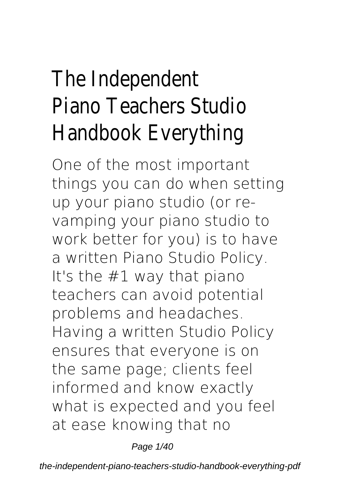# The Independent Piano Teachers Studio Handbook Everything

One of the most important things you can do when setting up your piano studio (or revamping your piano studio to work better for you) is to have a written Piano Studio Policy. It's the #1 way that piano teachers can avoid potential problems and headaches. Having a written Studio Policy ensures that everyone is on the same page; clients feel informed and know exactly what is expected and you feel at ease knowing that no

Page 1/40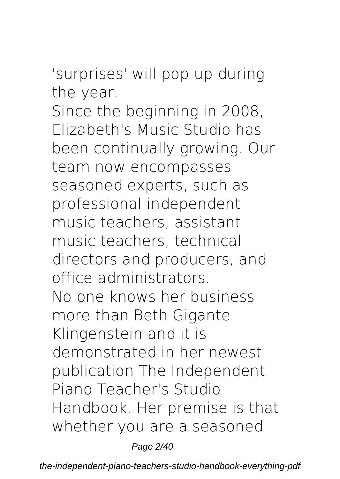#### 'surprises' will pop up during the year.

Since the beginning in 2008, Elizabeth's Music Studio has been continually growing. Our team now encompasses seasoned experts, such as professional independent music teachers, assistant music teachers, technical directors and producers, and office administrators. No one knows her business more than Beth Gigante Klingenstein and it is demonstrated in her newest publication The Independent Piano Teacher's Studio Handbook. Her premise is that whether you are a seasoned

Page 2/40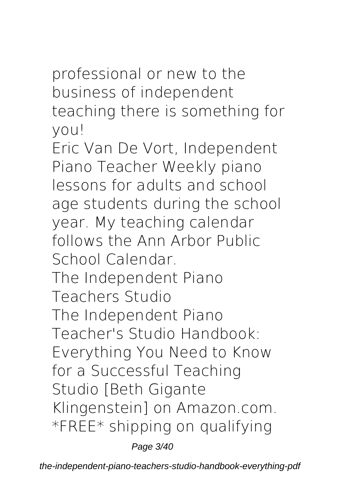#### professional or new to the business of independent teaching there is something for you!

Eric Van De Vort, Independent Piano Teacher Weekly piano lessons for adults and school age students during the school year. My teaching calendar follows the Ann Arbor Public School Calendar. **The Independent Piano Teachers Studio** The Independent Piano Teacher's Studio Handbook: Everything You Need to Know for a Successful Teaching Studio [Beth Gigante Klingenstein] on Amazon.com. \*FREE\* shipping on qualifying

Page 3/40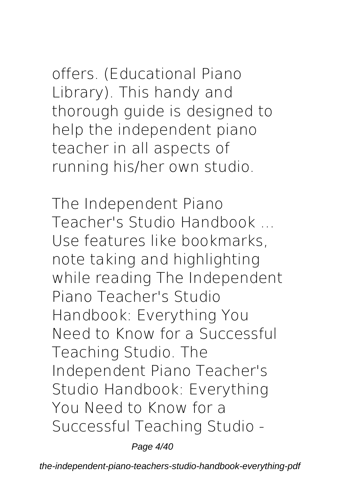offers. (Educational Piano Library). This handy and thorough guide is designed to help the independent piano teacher in all aspects of running his/her own studio.

**The Independent Piano Teacher's Studio Handbook ...** Use features like bookmarks, note taking and highlighting while reading The Independent Piano Teacher's Studio Handbook: Everything You Need to Know for a Successful Teaching Studio. The Independent Piano Teacher's Studio Handbook: Everything You Need to Know for a Successful Teaching Studio -

Page 4/40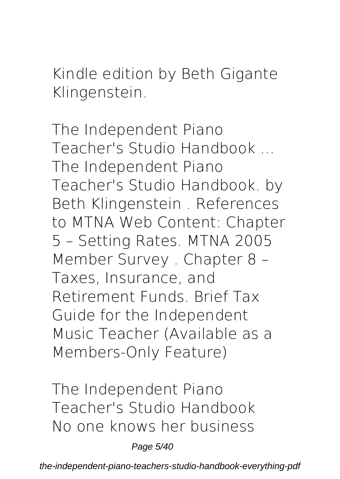Kindle edition by Beth Gigante Klingenstein.

**The Independent Piano Teacher's Studio Handbook ...** The Independent Piano Teacher's Studio Handbook. by Beth Klingenstein . References to MTNA Web Content: Chapter 5 – Setting Rates. MTNA 2005 Member Survey . Chapter 8 – Taxes, Insurance, and Retirement Funds. Brief Tax Guide for the Independent Music Teacher (Available as a Members-Only Feature)

**The Independent Piano Teacher's Studio Handbook** No one knows her business

Page 5/40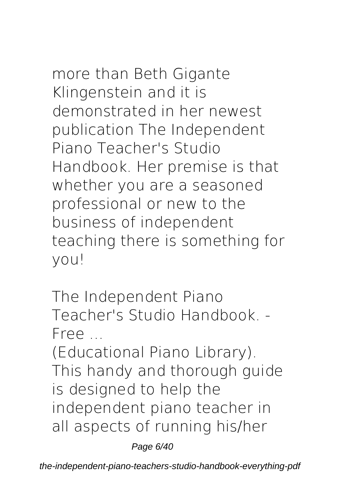more than Beth Gigante Klingenstein and it is demonstrated in her newest publication The Independent Piano Teacher's Studio Handbook. Her premise is that whether you are a seasoned professional or new to the business of independent teaching there is something for you!

**The Independent Piano Teacher's Studio Handbook. - Free ...**

(Educational Piano Library). This handy and thorough guide is designed to help the independent piano teacher in all aspects of running his/her

Page 6/40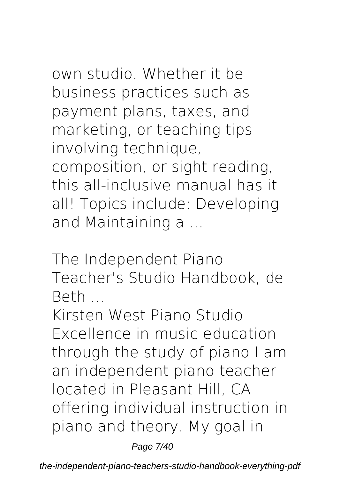own studio. Whether it be business practices such as payment plans, taxes, and marketing, or teaching tips involving technique, composition, or sight reading, this all-inclusive manual has it all! Topics include: Developing and Maintaining a ...

**The Independent Piano Teacher's Studio Handbook, de Beth ...**

Kirsten West Piano Studio Excellence in music education through the study of piano I am an independent piano teacher located in Pleasant Hill, CA offering individual instruction in piano and theory. My goal in

Page 7/40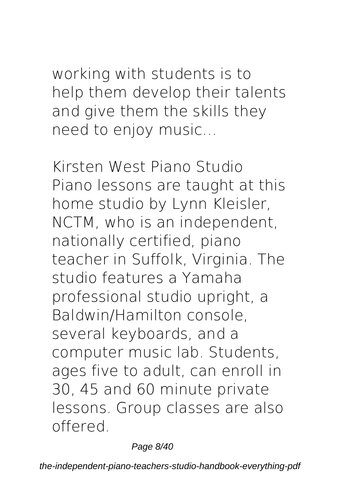#### working with students is to help them develop their talents and give them the skills they need to enjoy music…

**Kirsten West Piano Studio** Piano lessons are taught at this home studio by Lynn Kleisler, NCTM, who is an independent, nationally certified, piano teacher in Suffolk, Virginia. The studio features a Yamaha professional studio upright, a Baldwin/Hamilton console, several keyboards, and a computer music lab. Students, ages five to adult, can enroll in 30, 45 and 60 minute private lessons. Group classes are also offered.

Page 8/40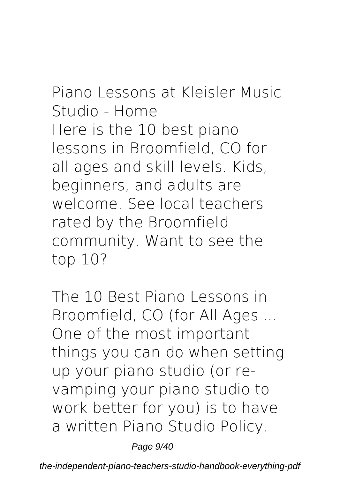### **Piano Lessons at Kleisler Music Studio - Home** Here is the 10 best piano lessons in Broomfield, CO for all ages and skill levels. Kids, beginners, and adults are welcome. See local teachers

rated by the Broomfield community. Want to see the top 10?

**The 10 Best Piano Lessons in Broomfield, CO (for All Ages ...** One of the most important things you can do when setting up your piano studio (or revamping your piano studio to work better for you) is to have a written Piano Studio Policy.

Page 9/40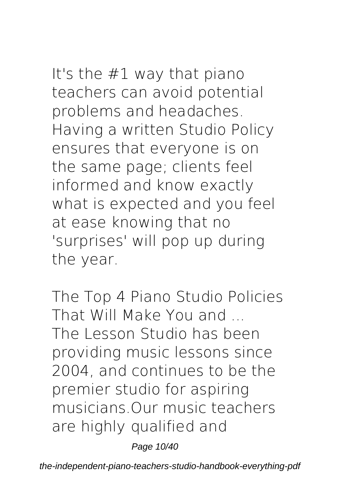It's the #1 way that piano teachers can avoid potential problems and headaches. Having a written Studio Policy ensures that everyone is on the same page; clients feel informed and know exactly what is expected and you feel at ease knowing that no 'surprises' will pop up during the year.

**The Top 4 Piano Studio Policies That Will Make You and ...** The Lesson Studio has been providing music lessons since 2004, and continues to be the premier studio for aspiring musicians.Our music teachers are highly qualified and

Page 10/40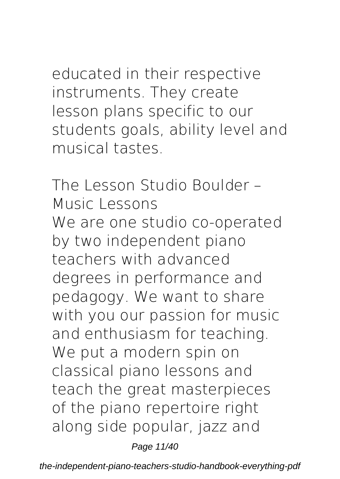educated in their respective instruments. They create lesson plans specific to our students goals, ability level and musical tastes.

**The Lesson Studio Boulder – Music Lessons** We are one studio co-operated by two independent piano teachers with advanced degrees in performance and pedagogy. We want to share with you our passion for music and enthusiasm for teaching. We put a modern spin on classical piano lessons and teach the great masterpieces of the piano repertoire right along side popular, jazz and

Page 11/40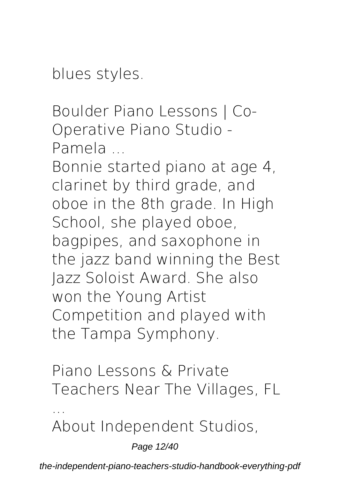blues styles.

**Boulder Piano Lessons | Co-Operative Piano Studio - Pamela ...**

Bonnie started piano at age 4, clarinet by third grade, and oboe in the 8th grade. In High School, she played oboe, bagpipes, and saxophone in the jazz band winning the Best Jazz Soloist Award. She also won the Young Artist Competition and played with the Tampa Symphony.

**Piano Lessons & Private Teachers Near The Villages, FL**

About Independent Studios,

**...**

Page 12/40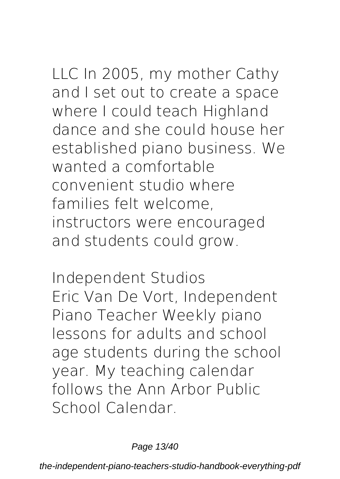LLC In 2005, my mother Cathy and I set out to create a space where I could teach Highland dance and she could house her established piano business. We wanted a comfortable convenient studio where families felt welcome, instructors were encouraged and students could grow.

**Independent Studios** Eric Van De Vort, Independent Piano Teacher Weekly piano lessons for adults and school age students during the school year. My teaching calendar follows the Ann Arbor Public School Calendar.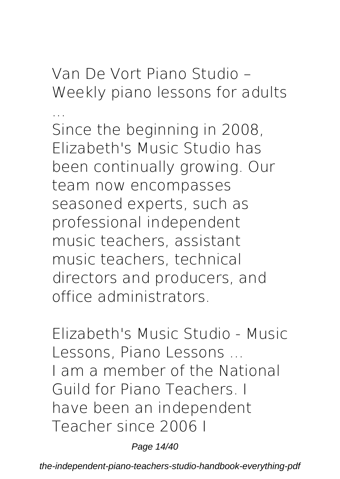**Van De Vort Piano Studio – Weekly piano lessons for adults**

**...** Since the beginning in 2008, Elizabeth's Music Studio has been continually growing. Our team now encompasses seasoned experts, such as professional independent music teachers, assistant music teachers, technical directors and producers, and office administrators.

**Elizabeth's Music Studio - Music Lessons, Piano Lessons ...** I am a member of the National Guild for Piano Teachers. I have been an independent Teacher since 2006 I

Page 14/40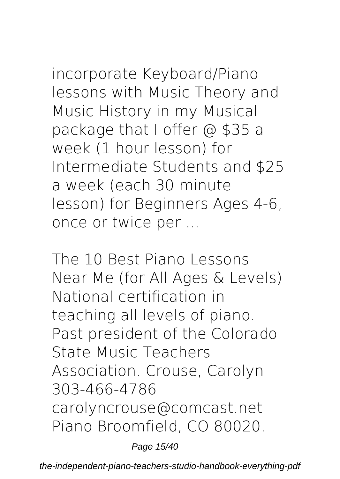incorporate Keyboard/Piano lessons with Music Theory and Music History in my Musical package that I offer @ \$35 a week (1 hour lesson) for Intermediate Students and \$25 a week (each 30 minute lesson) for Beginners Ages 4-6, once or twice per ...

**The 10 Best Piano Lessons Near Me (for All Ages & Levels)** National certification in teaching all levels of piano. Past president of the Colorado State Music Teachers Association. Crouse, Carolyn 303-466-4786 carolyncrouse@comcast.net Piano Broomfield, CO 80020.

Page 15/40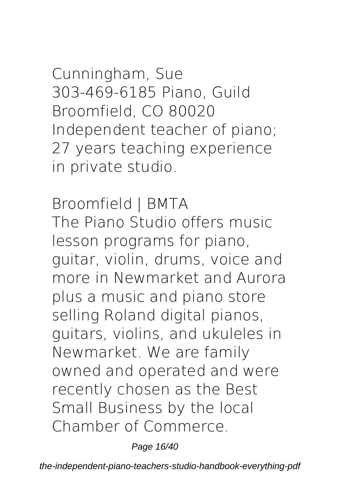Cunningham, Sue 303-469-6185 Piano, Guild Broomfield, CO 80020 Independent teacher of piano; 27 years teaching experience in private studio.

**Broomfield | BMTA** The Piano Studio offers music lesson programs for piano, guitar, violin, drums, voice and more in Newmarket and Aurora plus a music and piano store selling Roland digital pianos, guitars, violins, and ukuleles in Newmarket. We are family owned and operated and were recently chosen as the Best Small Business by the local Chamber of Commerce.

Page 16/40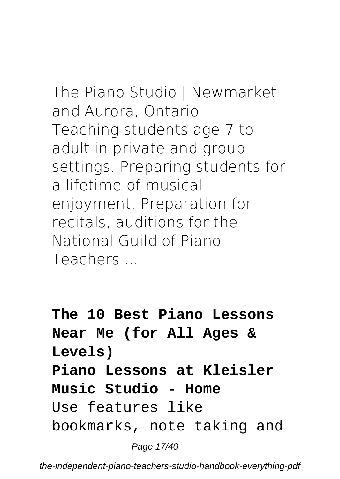## **The Piano Studio | Newmarket and Aurora, Ontario** Teaching students age 7 to adult in private and group

settings. Preparing students for a lifetime of musical enjoyment. Preparation for recitals, auditions for the National Guild of Piano **Teachers** 

**The 10 Best Piano Lessons Near Me (for All Ages & Levels) Piano Lessons at Kleisler Music Studio - Home** Use features like bookmarks, note taking and

Page 17/40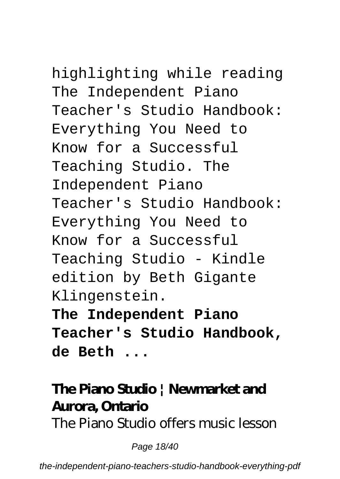# highlighting while reading

The Independent Piano Teacher's Studio Handbook: Everything You Need to Know for a Successful Teaching Studio. The Independent Piano Teacher's Studio Handbook: Everything You Need to Know for a Successful Teaching Studio - Kindle edition by Beth Gigante Klingenstein. **The Independent Piano Teacher's Studio Handbook,**

**de Beth ...**

#### **The Piano Studio | Newmarket and Aurora, Ontario**

The Piano Studio offers music lesson

Page 18/40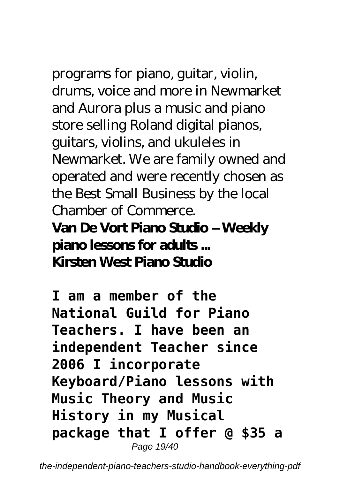programs for piano, guitar, violin, drums, voice and more in Newmarket and Aurora plus a music and piano store selling Roland digital pianos, guitars, violins, and ukuleles in Newmarket. We are family owned and operated and were recently chosen as the Best Small Business by the local Chamber of Commerce.

#### **Van De Vort Piano Studio – Weekly piano lessons for adults ... Kirsten West Piano Studio**

**I am a member of the National Guild for Piano Teachers. I have been an independent Teacher since 2006 I incorporate Keyboard/Piano lessons with Music Theory and Music History in my Musical package that I offer @ \$35 a** Page 19/40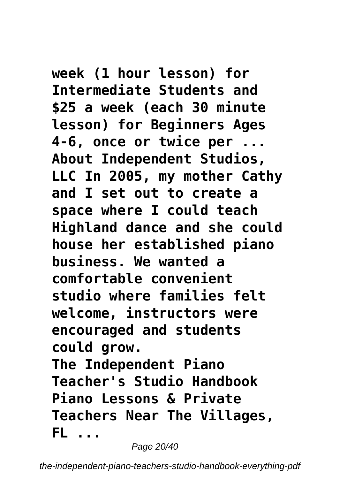**week (1 hour lesson) for Intermediate Students and \$25 a week (each 30 minute lesson) for Beginners Ages 4-6, once or twice per ... About Independent Studios, LLC In 2005, my mother Cathy and I set out to create a space where I could teach Highland dance and she could house her established piano business. We wanted a comfortable convenient studio where families felt welcome, instructors were encouraged and students could grow. The Independent Piano Teacher's Studio Handbook Piano Lessons & Private Teachers Near The Villages, FL ...**

Page 20/40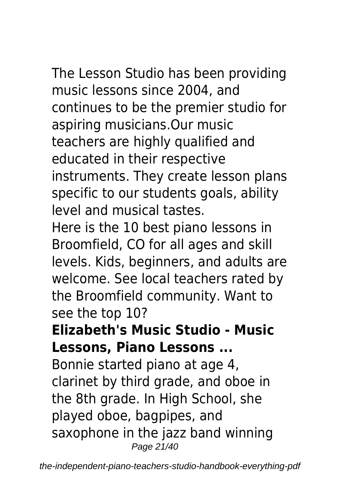The Lesson Studio has been providing music lessons since 2004, and continues to be the premier studio for aspiring musicians.Our music teachers are highly qualified and educated in their respective instruments. They create lesson plans specific to our students goals, ability level and musical tastes.

Here is the 10 best piano lessons in Broomfield, CO for all ages and skill levels. Kids, beginners, and adults are welcome. See local teachers rated by the Broomfield community. Want to see the top 10?

#### **Elizabeth's Music Studio - Music Lessons, Piano Lessons ...**

Bonnie started piano at age 4, clarinet by third grade, and oboe in the 8th grade. In High School, she played oboe, bagpipes, and saxophone in the jazz band winning Page 21/40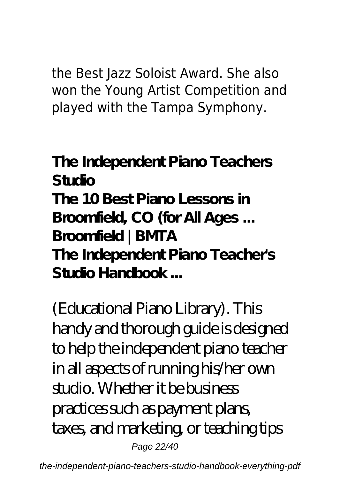the Best Jazz Soloist Award. She also won the Young Artist Competition and played with the Tampa Symphony.

**The Independent Piano Teachers Studio The 10 Best Piano Lessons in Broomfield, CO (for All Ages ... Broomfield | BMTA The Independent Piano Teacher's Studio Handbook ...**

(Educational Piano Library). This handy and thorough guide is designed to help the independent piano teacher in all aspects of running his/her own studio. Whether it be business practices such as payment plans, taxes, and marketing, or teaching tips Page 22/40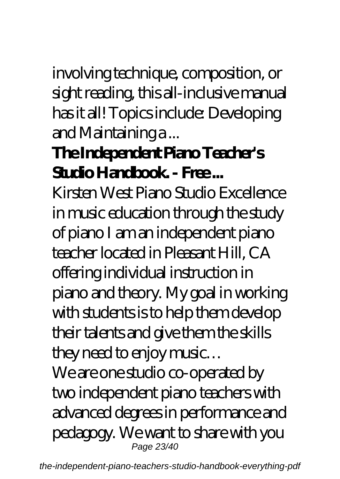involving technique, composition, or sight reading, this all-inclusive manual has it all! Topics include: Developing and Maintaining a ...

#### **The Independent Piano Teacher's** Studio Handbook. - Free...

Kirsten West Piano Studio Excellence in music education through the study of piano I am an independent piano teacher located in Pleasant Hill, CA offering individual instruction in piano and theory. My goal in working with students is to help them develop their talents and give them the skills they need to enjoy music…

We are one studio co-operated by two independent piano teachers with advanced degrees in performance and pedagogy. We want to share with you Page 23/40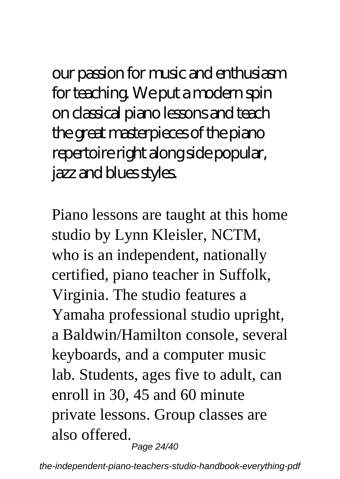our passion for music and enthusiasm for teaching. We put a modern spin on classical piano lessons and teach the great masterpieces of the piano repertoire right along side popular, jazz and blues styles.

Piano lessons are taught at this home studio by Lynn Kleisler, NCTM, who is an independent, nationally certified, piano teacher in Suffolk, Virginia. The studio features a Yamaha professional studio upright, a Baldwin/Hamilton console, several keyboards, and a computer music lab. Students, ages five to adult, can enroll in 30, 45 and 60 minute private lessons. Group classes are also offered. Page 24/40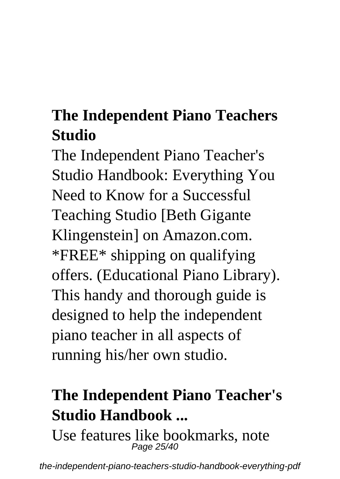#### **The Independent Piano Teachers Studio**

The Independent Piano Teacher's Studio Handbook: Everything You Need to Know for a Successful Teaching Studio [Beth Gigante Klingenstein] on Amazon.com. \*FREE\* shipping on qualifying offers. (Educational Piano Library). This handy and thorough guide is designed to help the independent piano teacher in all aspects of running his/her own studio.

### **The Independent Piano Teacher's Studio Handbook ...**

Use features like bookmarks, note Page 25/40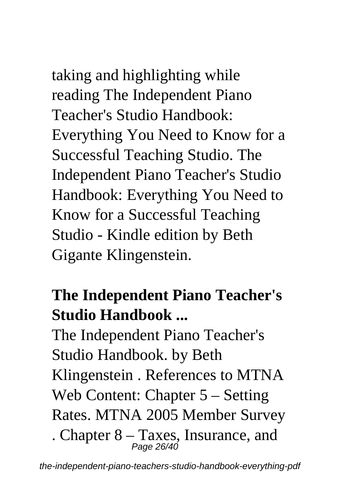taking and highlighting while reading The Independent Piano Teacher's Studio Handbook: Everything You Need to Know for a Successful Teaching Studio. The Independent Piano Teacher's Studio Handbook: Everything You Need to Know for a Successful Teaching Studio - Kindle edition by Beth

Gigante Klingenstein.

#### **The Independent Piano Teacher's Studio Handbook ...**

The Independent Piano Teacher's Studio Handbook. by Beth Klingenstein . References to MTNA Web Content: Chapter 5 – Setting Rates. MTNA 2005 Member Survey

. Chapter  $8 - \text{Taxes}$ , Insurance, and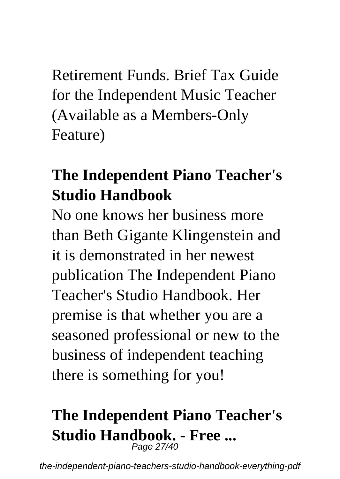Retirement Funds. Brief Tax Guide for the Independent Music Teacher (Available as a Members-Only Feature)

#### **The Independent Piano Teacher's Studio Handbook**

No one knows her business more than Beth Gigante Klingenstein and it is demonstrated in her newest publication The Independent Piano Teacher's Studio Handbook. Her premise is that whether you are a seasoned professional or new to the business of independent teaching there is something for you!

#### **The Independent Piano Teacher's Studio Handbook. - Free ...** Page 27/40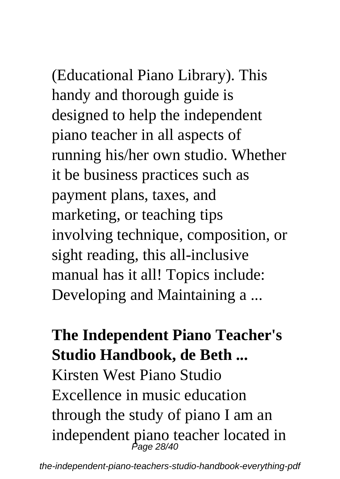(Educational Piano Library). This handy and thorough guide is designed to help the independent piano teacher in all aspects of running his/her own studio. Whether it be business practices such as payment plans, taxes, and marketing, or teaching tips involving technique, composition, or sight reading, this all-inclusive manual has it all! Topics include: Developing and Maintaining a ...

#### **The Independent Piano Teacher's Studio Handbook, de Beth ...**

Kirsten West Piano Studio Excellence in music education through the study of piano I am an independent piano teacher located in Page 28/40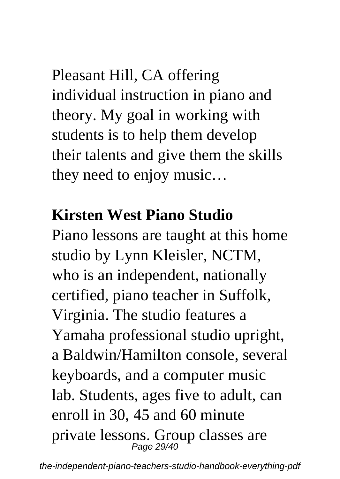Pleasant Hill, CA offering individual instruction in piano and theory. My goal in working with students is to help them develop their talents and give them the skills they need to enjoy music…

#### **Kirsten West Piano Studio**

Piano lessons are taught at this home studio by Lynn Kleisler, NCTM, who is an independent, nationally certified, piano teacher in Suffolk, Virginia. The studio features a Yamaha professional studio upright, a Baldwin/Hamilton console, several keyboards, and a computer music lab. Students, ages five to adult, can enroll in 30, 45 and 60 minute private lessons. Group classes are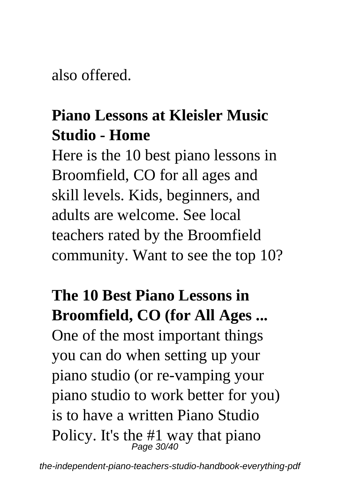also offered.

#### **Piano Lessons at Kleisler Music Studio - Home**

Here is the 10 best piano lessons in Broomfield, CO for all ages and skill levels. Kids, beginners, and adults are welcome. See local teachers rated by the Broomfield community. Want to see the top 10?

### **The 10 Best Piano Lessons in Broomfield, CO (for All Ages ...** One of the most important things you can do when setting up your piano studio (or re-vamping your piano studio to work better for you) is to have a written Piano Studio Policy. It's the #1 way that piano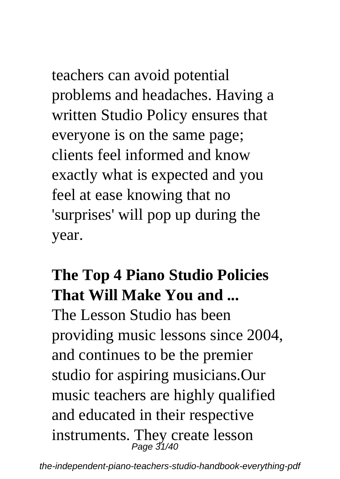# teachers can avoid potential

problems and headaches. Having a written Studio Policy ensures that everyone is on the same page; clients feel informed and know exactly what is expected and you feel at ease knowing that no 'surprises' will pop up during the year.

### **The Top 4 Piano Studio Policies That Will Make You and ...**

The Lesson Studio has been providing music lessons since 2004, and continues to be the premier studio for aspiring musicians.Our music teachers are highly qualified and educated in their respective instruments. They create lesson Page 31/40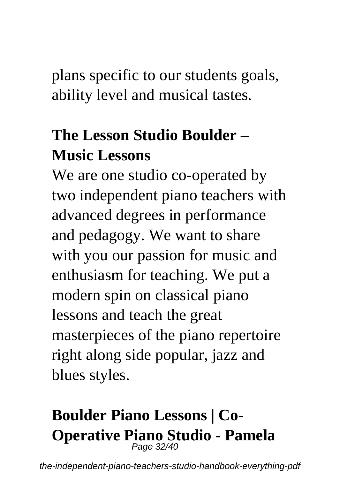plans specific to our students goals, ability level and musical tastes.

### **The Lesson Studio Boulder – Music Lessons**

We are one studio co-operated by two independent piano teachers with advanced degrees in performance and pedagogy. We want to share with you our passion for music and enthusiasm for teaching. We put a modern spin on classical piano lessons and teach the great masterpieces of the piano repertoire right along side popular, jazz and blues styles.

## **Boulder Piano Lessons | Co-Operative Piano Studio - Pamela** Page 32/40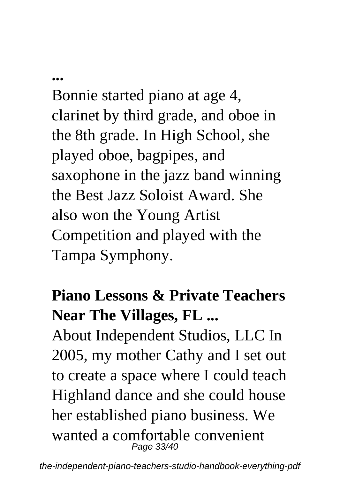#### **...**

Bonnie started piano at age 4, clarinet by third grade, and oboe in the 8th grade. In High School, she played oboe, bagpipes, and saxophone in the jazz band winning the Best Jazz Soloist Award. She also won the Young Artist Competition and played with the Tampa Symphony.

#### **Piano Lessons & Private Teachers Near The Villages, FL ...**

About Independent Studios, LLC In 2005, my mother Cathy and I set out to create a space where I could teach Highland dance and she could house her established piano business. We wanted a comfortable convenient Page 33/40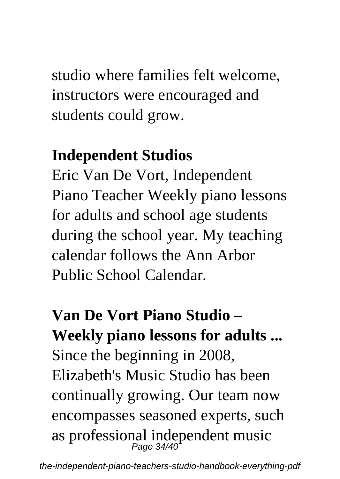studio where families felt welcome, instructors were encouraged and students could grow.

#### **Independent Studios**

Eric Van De Vort, Independent Piano Teacher Weekly piano lessons for adults and school age students during the school year. My teaching calendar follows the Ann Arbor Public School Calendar.

**Van De Vort Piano Studio – Weekly piano lessons for adults ...** Since the beginning in 2008, Elizabeth's Music Studio has been continually growing. Our team now encompasses seasoned experts, such as professional independent music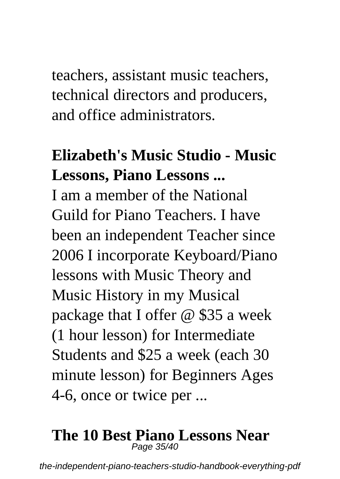teachers, assistant music teachers, technical directors and producers, and office administrators.

#### **Elizabeth's Music Studio - Music Lessons, Piano Lessons ...**

I am a member of the National Guild for Piano Teachers. I have been an independent Teacher since 2006 I incorporate Keyboard/Piano lessons with Music Theory and Music History in my Musical package that I offer @ \$35 a week (1 hour lesson) for Intermediate Students and \$25 a week (each 30 minute lesson) for Beginners Ages 4-6, once or twice per ...

#### **The 10 Best Piano Lessons Near** Page 35/40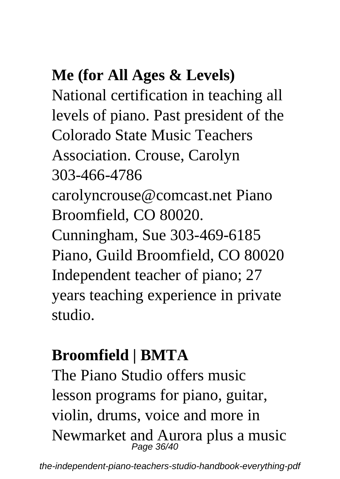### **Me (for All Ages & Levels)**

National certification in teaching all levels of piano. Past president of the Colorado State Music Teachers Association. Crouse, Carolyn 303-466-4786 carolyncrouse@comcast.net Piano Broomfield, CO 80020. Cunningham, Sue 303-469-6185 Piano, Guild Broomfield, CO 80020 Independent teacher of piano; 27 years teaching experience in private studio.

### **Broomfield | BMTA**

The Piano Studio offers music lesson programs for piano, guitar, violin, drums, voice and more in Newmarket and Aurora plus a music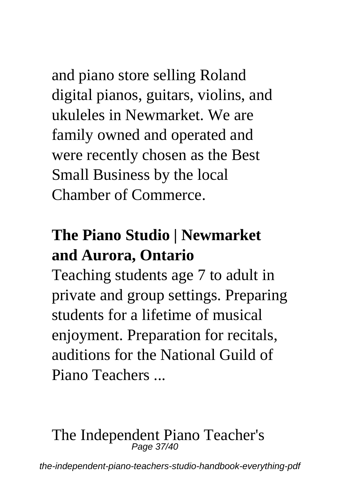and piano store selling Roland digital pianos, guitars, violins, and ukuleles in Newmarket. We are family owned and operated and were recently chosen as the Best Small Business by the local Chamber of Commerce.

#### **The Piano Studio | Newmarket and Aurora, Ontario**

Teaching students age 7 to adult in private and group settings. Preparing students for a lifetime of musical enjoyment. Preparation for recitals, auditions for the National Guild of Piano Teachers ...

# The Independent Piano Teacher's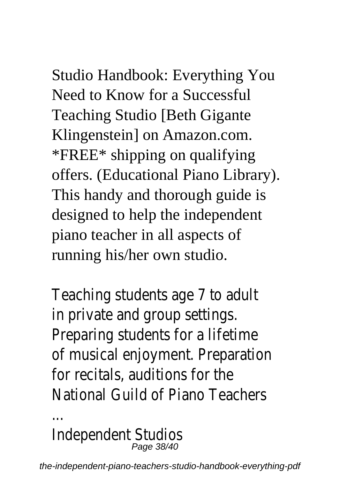### Studio Handbook: Everything You Need to Know for a Successful Teaching Studio [Beth Gigante Klingenstein] on Amazon.com. \*FREE\* shipping on qualifying offers. (Educational Piano Library).

This handy and thorough guide is designed to help the independent piano teacher in all aspects of running his/her own studio.

Teaching students age 7 to adult in private and group settings. Preparing students for a lifetime of musical enjoyment. Preparation for recitals, auditions for the National Guild of Piano Teachers

Independent Studios Page 38/40

...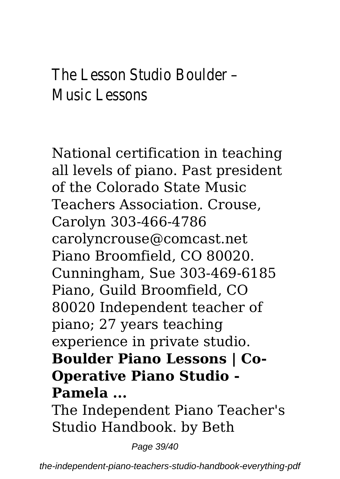#### The Lesson Studio Boulder – Music Lessons

National certification in teaching all levels of piano. Past president of the Colorado State Music Teachers Association. Crouse, Carolyn 303-466-4786 carolyncrouse@comcast.net Piano Broomfield, CO 80020. Cunningham, Sue 303-469-6185 Piano, Guild Broomfield, CO 80020 Independent teacher of piano; 27 years teaching experience in private studio. **Boulder Piano Lessons | Co-Operative Piano Studio - Pamela ...**

The Independent Piano Teacher's Studio Handbook. by Beth

Page 39/40